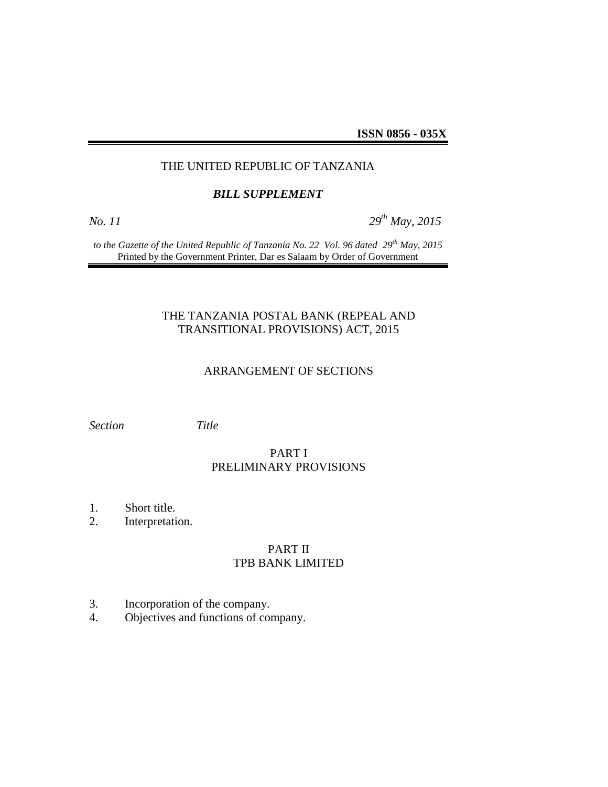**ISSN 0856 - 035X**

## THE UNITED REPUBLIC OF TANZANIA

#### *BILL SUPPLEMENT*

*No. 11 29th May, 2015*

*to the Gazette of the United Republic of Tanzania No. 22 Vol. 96 dated 29th May, 2015* Printed by the Government Printer, Dar es Salaam by Order of Government

## THE TANZANIA POSTAL BANK (REPEAL AND TRANSITIONAL PROVISIONS) ACT, 2015

#### ARRANGEMENT OF SECTIONS

*Section Title*

# PART I PRELIMINARY PROVISIONS

- 1. Short title.
- 2. Interpretation.

## PART II TPB BANK LIMITED

- 3. Incorporation of the company.
- 4. Objectives and functions of company.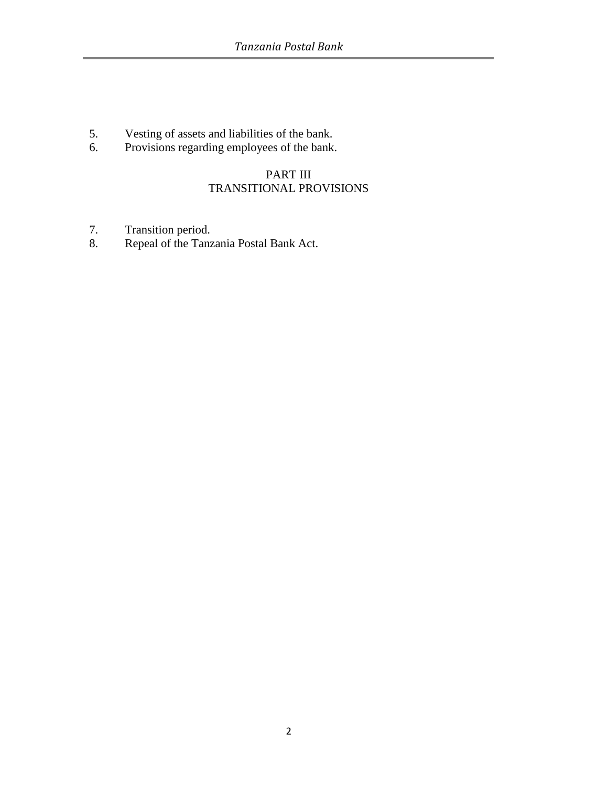- 5. Vesting of assets and liabilities of the bank.<br>6. Provisions regarding employees of the bank.
- Provisions regarding employees of the bank.

# PART III TRANSITIONAL PROVISIONS

- 7. Transition period.
- 8. Repeal of the Tanzania Postal Bank Act.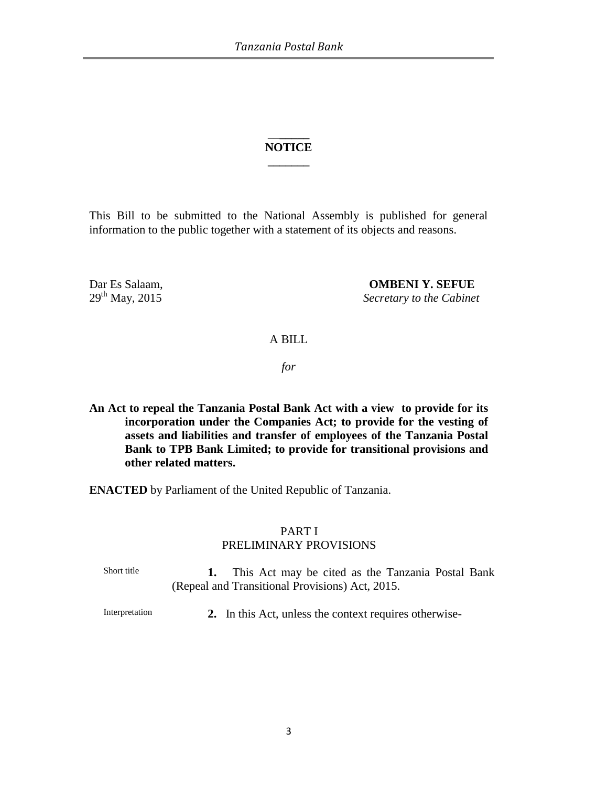## \_\_**\_\_\_\_\_ NOTICE \_\_\_\_\_\_\_**

This Bill to be submitted to the National Assembly is published for general information to the public together with a statement of its objects and reasons.

Dar Es Salaam, **OMBENI Y. SEFUE** 29th May, 2015 *Secretary to the Cabinet*

### A BILL

*for*

**An Act to repeal the Tanzania Postal Bank Act with a view to provide for its incorporation under the Companies Act; to provide for the vesting of assets and liabilities and transfer of employees of the Tanzania Postal Bank to TPB Bank Limited; to provide for transitional provisions and other related matters.**

**ENACTED** by Parliament of the United Republic of Tanzania.

# PART I

### PRELIMINARY PROVISIONS

Short title **1.** This Act may be cited as the Tanzania Postal Bank (Repeal and Transitional Provisions) Act, 2015.

Interpretation **2.** In this Act, unless the context requires otherwise-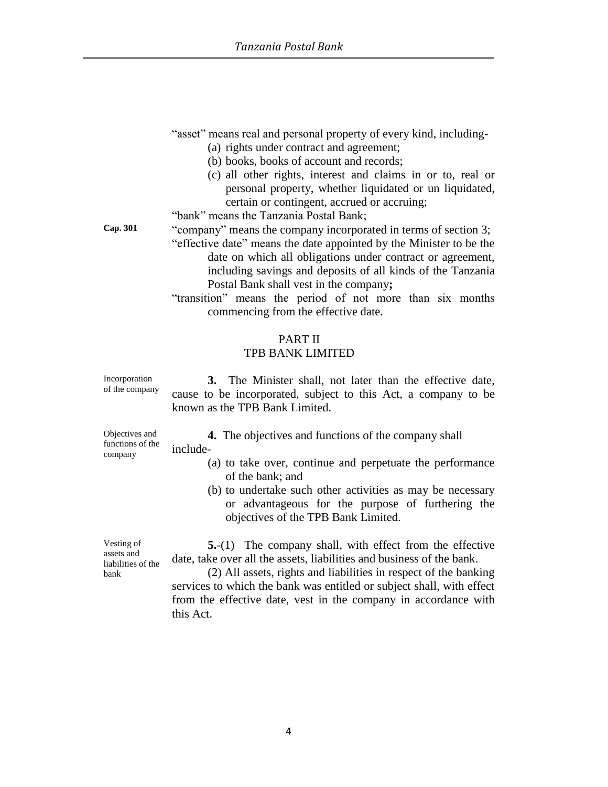"asset" means real and personal property of every kind, including-

- (a) rights under contract and agreement;
- (b) books, books of account and records;
- (c) all other rights, interest and claims in or to, real or personal property, whether liquidated or un liquidated, certain or contingent, accrued or accruing;

"bank" means the Tanzania Postal Bank;

- **Cap. 301** "company" means the company incorporated in terms of section 3;
	- "effective date" means the date appointed by the Minister to be the date on which all obligations under contract or agreement, including savings and deposits of all kinds of the Tanzania Postal Bank shall vest in the company**;**
	- "transition" means the period of not more than six months commencing from the effective date.

### PART II

## TPB BANK LIMITED

Incorporation of the company

**3.** The Minister shall, not later than the effective date, cause to be incorporated, subject to this Act, a company to be known as the TPB Bank Limited.

Objectives and functions of the company

**4.** The objectives and functions of the company shall include-

- (a) to take over, continue and perpetuate the performance of the bank; and
- (b) to undertake such other activities as may be necessary or advantageous for the purpose of furthering the objectives of the TPB Bank Limited.

Vesting of assets and liabilities of the bank

**5.**-(1) The company shall, with effect from the effective date, take over all the assets, liabilities and business of the bank.

(2) All assets, rights and liabilities in respect of the banking services to which the bank was entitled or subject shall, with effect from the effective date, vest in the company in accordance with this Act.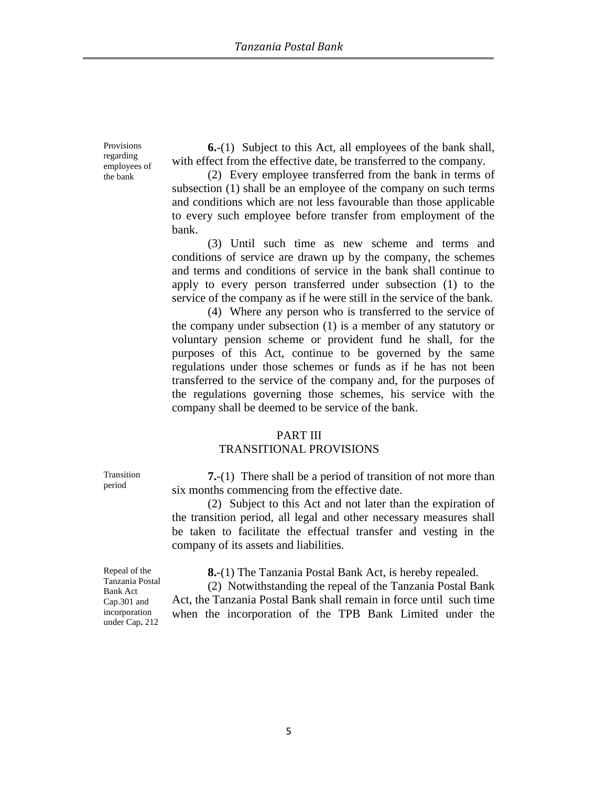Provisions regarding employees of the bank

**6.**-(1) Subject to this Act, all employees of the bank shall, with effect from the effective date, be transferred to the company.

(2) Every employee transferred from the bank in terms of subsection (1) shall be an employee of the company on such terms and conditions which are not less favourable than those applicable to every such employee before transfer from employment of the bank.

(3) Until such time as new scheme and terms and conditions of service are drawn up by the company, the schemes and terms and conditions of service in the bank shall continue to apply to every person transferred under subsection (1) to the service of the company as if he were still in the service of the bank.

(4) Where any person who is transferred to the service of the company under subsection (1) is a member of any statutory or voluntary pension scheme or provident fund he shall, for the purposes of this Act, continue to be governed by the same regulations under those schemes or funds as if he has not been transferred to the service of the company and, for the purposes of the regulations governing those schemes, his service with the company shall be deemed to be service of the bank.

#### PART III

### TRANSITIONAL PROVISIONS

**7.**-(1) There shall be a period of transition of not more than six months commencing from the effective date.

(2) Subject to this Act and not later than the expiration of the transition period, all legal and other necessary measures shall be taken to facilitate the effectual transfer and vesting in the company of its assets and liabilities.

**8.**-(1) The Tanzania Postal Bank Act, is hereby repealed.

(2) Notwithstanding the repeal of the Tanzania Postal Bank Act, the Tanzania Postal Bank shall remain in force until such time when the incorporation of the TPB Bank Limited under the

Transition period

Repeal of the Tanzania Postal Bank Act Cap.301 and incorporation under Cap**.** 212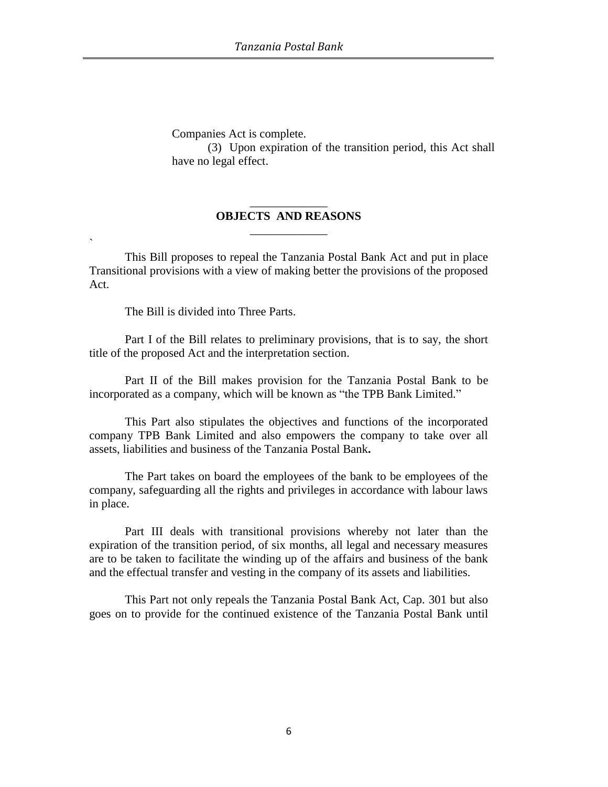Companies Act is complete.

(3) Upon expiration of the transition period, this Act shall have no legal effect.

## \_\_\_\_\_\_\_\_\_\_\_\_\_ **OBJECTS AND REASONS** \_\_\_\_\_\_\_\_\_\_\_\_\_

This Bill proposes to repeal the Tanzania Postal Bank Act and put in place Transitional provisions with a view of making better the provisions of the proposed Act.

The Bill is divided into Three Parts.

`

Part I of the Bill relates to preliminary provisions, that is to say, the short title of the proposed Act and the interpretation section.

Part II of the Bill makes provision for the Tanzania Postal Bank to be incorporated as a company, which will be known as "the TPB Bank Limited."

This Part also stipulates the objectives and functions of the incorporated company TPB Bank Limited and also empowers the company to take over all assets, liabilities and business of the Tanzania Postal Bank**.** 

The Part takes on board the employees of the bank to be employees of the company, safeguarding all the rights and privileges in accordance with labour laws in place.

Part III deals with transitional provisions whereby not later than the expiration of the transition period, of six months, all legal and necessary measures are to be taken to facilitate the winding up of the affairs and business of the bank and the effectual transfer and vesting in the company of its assets and liabilities.

This Part not only repeals the Tanzania Postal Bank Act, Cap. 301 but also goes on to provide for the continued existence of the Tanzania Postal Bank until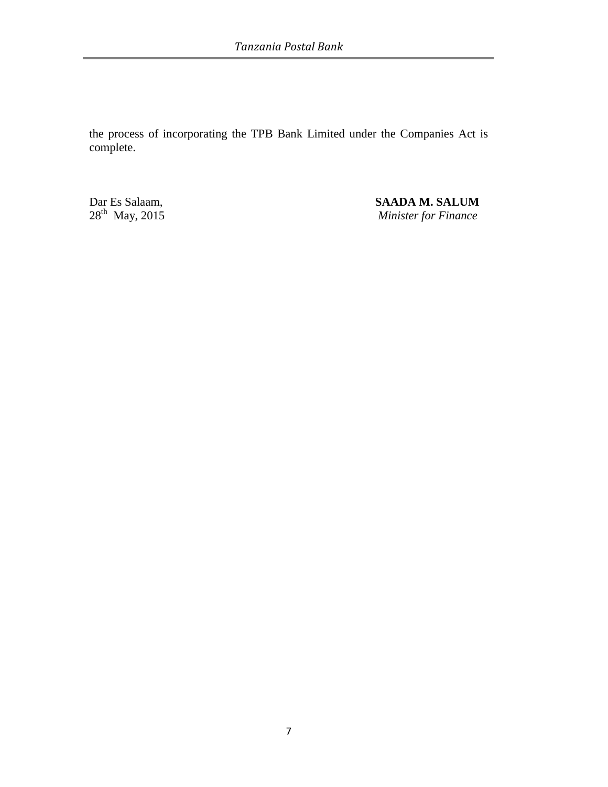the process of incorporating the TPB Bank Limited under the Companies Act is complete.

 $28^{th}$  May, 2015

Dar Es Salaam, **SAADA M. SALUM Minister for Finance**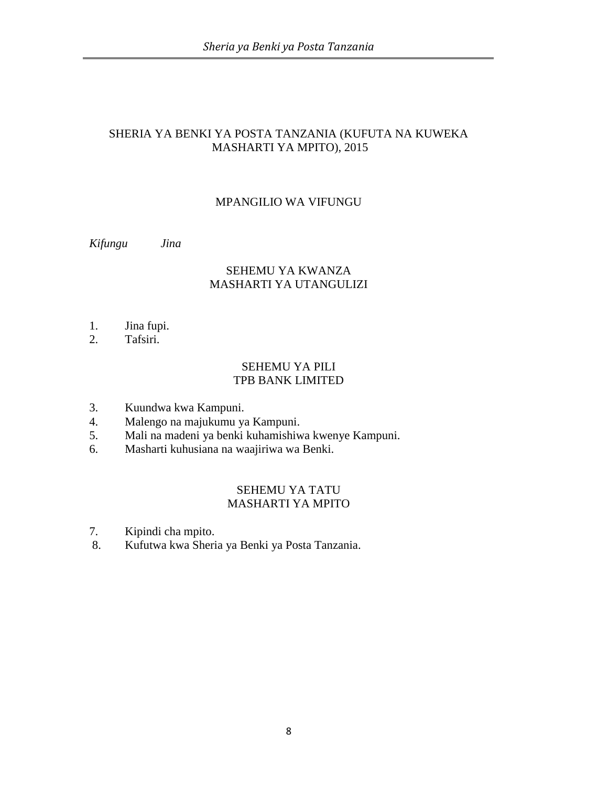## SHERIA YA BENKI YA POSTA TANZANIA (KUFUTA NA KUWEKA MASHARTI YA MPITO), 2015

## MPANGILIO WA VIFUNGU

*Kifungu Jina*

# SEHEMU YA KWANZA MASHARTI YA UTANGULIZI

- 1. Jina fupi.
- 2. Tafsiri.

## SEHEMU YA PILI TPB BANK LIMITED

- 3. Kuundwa kwa Kampuni.
- 4. Malengo na majukumu ya Kampuni.
- 5. Mali na madeni ya benki kuhamishiwa kwenye Kampuni.
- 6. Masharti kuhusiana na waajiriwa wa Benki.

### SEHEMU YA TATU MASHARTI YA MPITO

- 7. Kipindi cha mpito.
- 8. Kufutwa kwa Sheria ya Benki ya Posta Tanzania.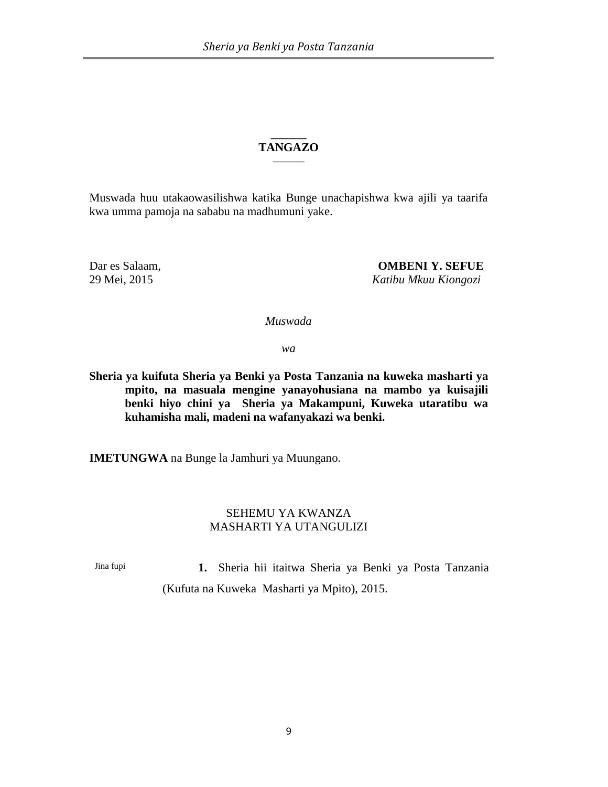#### **\_\_\_\_\_\_ TANGAZO \_\_\_\_\_\_\_\_**

Muswada huu utakaowasilishwa katika Bunge unachapishwa kwa ajili ya taarifa kwa umma pamoja na sababu na madhumuni yake.

Dar es Salaam, **OMBENI Y. SEFUE** 29 Mei, 2015 *Katibu Mkuu Kiongozi*

*Muswada* 

*wa*

**Sheria ya kuifuta Sheria ya Benki ya Posta Tanzania na kuweka masharti ya mpito, na masuala mengine yanayohusiana na mambo ya kuisajili benki hiyo chini ya Sheria ya Makampuni, Kuweka utaratibu wa kuhamisha mali, madeni na wafanyakazi wa benki.**

**IMETUNGWA** na Bunge la Jamhuri ya Muungano.

### SEHEMU YA KWANZA MASHARTI YA UTANGULIZI

Jina fupi **1.** Sheria hii itaitwa Sheria ya Benki ya Posta Tanzania (Kufuta na Kuweka Masharti ya Mpito), 2015.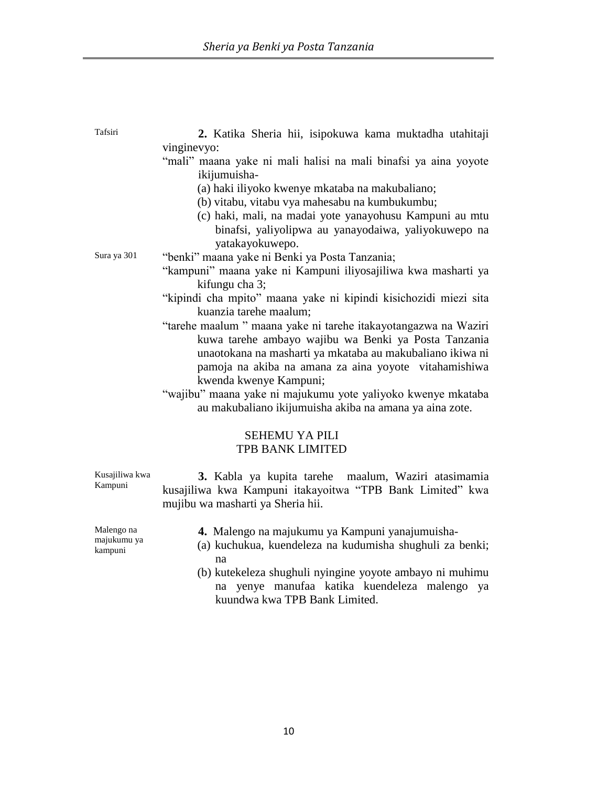| Tafsiri     |  |  |  | 2. Katika Sheria hii, isipokuwa kama muktadha utahitaji |  |  |
|-------------|--|--|--|---------------------------------------------------------|--|--|
| vinginevyo: |  |  |  |                                                         |  |  |

- "mali" maana yake ni mali halisi na mali binafsi ya aina yoyote ikijumuisha-
	- (a) haki iliyoko kwenye mkataba na makubaliano;
	- (b) vitabu, vitabu vya mahesabu na kumbukumbu;
	- (c) haki, mali, na madai yote yanayohusu Kampuni au mtu binafsi, yaliyolipwa au yanayodaiwa, yaliyokuwepo na yatakayokuwepo.

Sura ya 301 "benki" maana yake ni Benki ya Posta Tanzania;

- "kampuni" maana yake ni Kampuni iliyosajiliwa kwa masharti ya kifungu cha 3;
- "kipindi cha mpito" maana yake ni kipindi kisichozidi miezi sita kuanzia tarehe maalum;
- "tarehe maalum " maana yake ni tarehe itakayotangazwa na Waziri kuwa tarehe ambayo wajibu wa Benki ya Posta Tanzania unaotokana na masharti ya mkataba au makubaliano ikiwa ni pamoja na akiba na amana za aina yoyote vitahamishiwa kwenda kwenye Kampuni;
- "wajibu" maana yake ni majukumu yote yaliyoko kwenye mkataba au makubaliano ikijumuisha akiba na amana ya aina zote.

## SEHEMU YA PILI TPB BANK LIMITED

**3.** Kabla ya kupita tarehe maalum, Waziri atasimamia kusajiliwa kwa Kampuni itakayoitwa "TPB Bank Limited" kwa mujibu wa masharti ya Sheria hii.

Malengo na majukumu ya kampuni

Kusajiliwa kwa Kampuni

- **4.** Malengo na majukumu ya Kampuni yanajumuisha-
- (a) kuchukua, kuendeleza na kudumisha shughuli za benki; na
- (b) kutekeleza shughuli nyingine yoyote ambayo ni muhimu na yenye manufaa katika kuendeleza malengo ya kuundwa kwa TPB Bank Limited.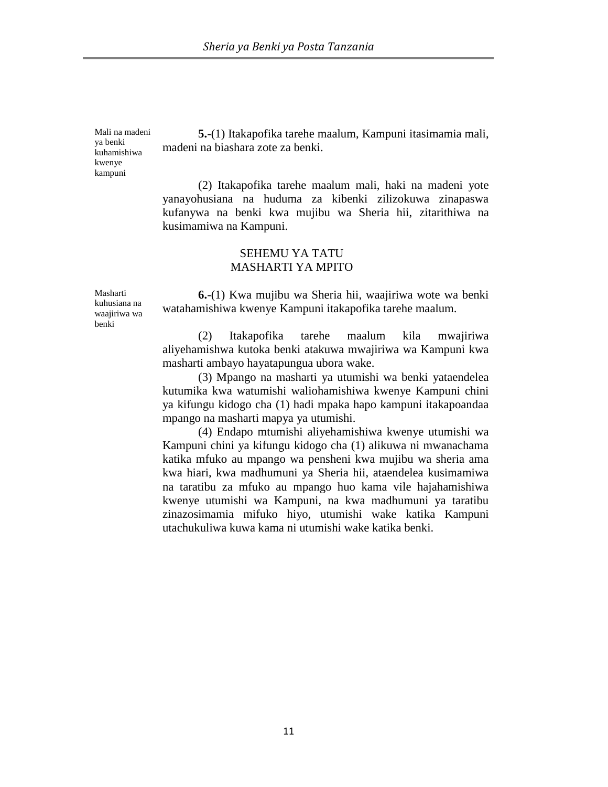Mali na madeni ya benki kuhamishiwa kwenye kampuni

**5.**-(1) Itakapofika tarehe maalum, Kampuni itasimamia mali, madeni na biashara zote za benki.

(2) Itakapofika tarehe maalum mali, haki na madeni yote yanayohusiana na huduma za kibenki zilizokuwa zinapaswa kufanywa na benki kwa mujibu wa Sheria hii, zitarithiwa na kusimamiwa na Kampuni.

### SEHEMU YA TATU MASHARTI YA MPITO

Masharti kuhusiana na waajiriwa wa benki

**6.**-(1) Kwa mujibu wa Sheria hii, waajiriwa wote wa benki watahamishiwa kwenye Kampuni itakapofika tarehe maalum.

(2) Itakapofika tarehe maalum kila mwajiriwa aliyehamishwa kutoka benki atakuwa mwajiriwa wa Kampuni kwa masharti ambayo hayatapungua ubora wake.

(3) Mpango na masharti ya utumishi wa benki yataendelea kutumika kwa watumishi waliohamishiwa kwenye Kampuni chini ya kifungu kidogo cha (1) hadi mpaka hapo kampuni itakapoandaa mpango na masharti mapya ya utumishi.

(4) Endapo mtumishi aliyehamishiwa kwenye utumishi wa Kampuni chini ya kifungu kidogo cha (1) alikuwa ni mwanachama katika mfuko au mpango wa pensheni kwa mujibu wa sheria ama kwa hiari, kwa madhumuni ya Sheria hii, ataendelea kusimamiwa na taratibu za mfuko au mpango huo kama vile hajahamishiwa kwenye utumishi wa Kampuni, na kwa madhumuni ya taratibu zinazosimamia mifuko hiyo, utumishi wake katika Kampuni utachukuliwa kuwa kama ni utumishi wake katika benki.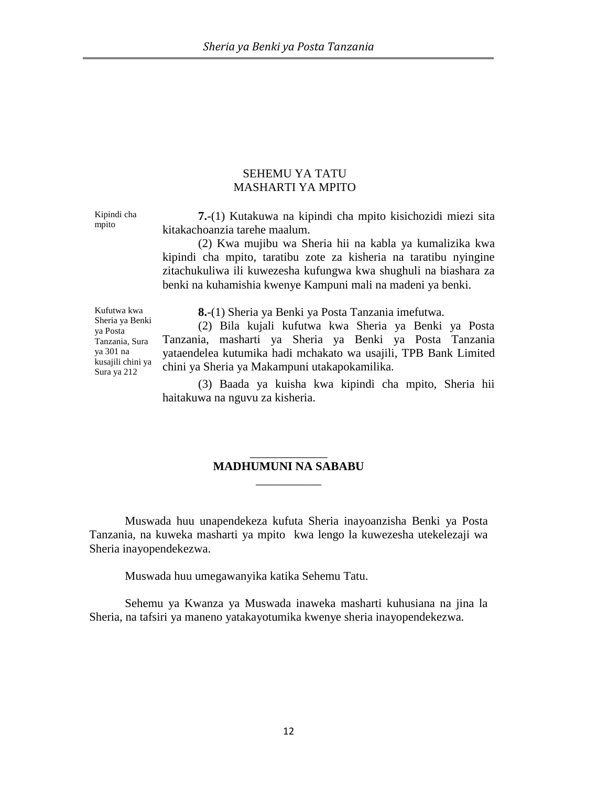### SEHEMU YA TATU MASHARTI YA MPITO

Kipindi cha mpito

**7.**-(1) Kutakuwa na kipindi cha mpito kisichozidi miezi sita kitakachoanzia tarehe maalum.

(2) Kwa mujibu wa Sheria hii na kabla ya kumalizika kwa kipindi cha mpito, taratibu zote za kisheria na taratibu nyingine zitachukuliwa ili kuwezesha kufungwa kwa shughuli na biashara za benki na kuhamishia kwenye Kampuni mali na madeni ya benki.

Kufutwa kwa Sheria ya Benki ya Posta Tanzania, Sura ya 301 na kusajili chini ya Sura ya 212

**8.**-(1) Sheria ya Benki ya Posta Tanzania imefutwa.

(2) Bila kujali kufutwa kwa Sheria ya Benki ya Posta Tanzania, masharti ya Sheria ya Benki ya Posta Tanzania yataendelea kutumika hadi mchakato wa usajili, TPB Bank Limited chini ya Sheria ya Makampuni utakapokamilika.

(3) Baada ya kuisha kwa kipindi cha mpito, Sheria hii haitakuwa na nguvu za kisheria.

## \_\_\_\_\_\_\_\_\_\_\_\_\_ **MADHUMUNI NA SABABU**  \_\_\_\_\_\_\_\_\_\_\_

Muswada huu unapendekeza kufuta Sheria inayoanzisha Benki ya Posta Tanzania, na kuweka masharti ya mpito kwa lengo la kuwezesha utekelezaji wa Sheria inayopendekezwa.

Muswada huu umegawanyika katika Sehemu Tatu.

Sehemu ya Kwanza ya Muswada inaweka masharti kuhusiana na jina la Sheria, na tafsiri ya maneno yatakayotumika kwenye sheria inayopendekezwa.